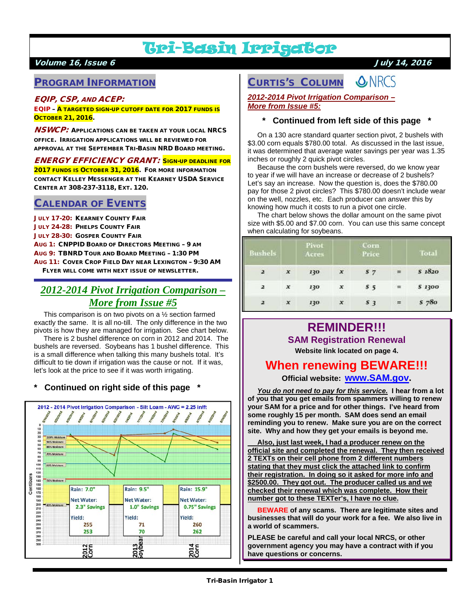# Tri-Basin Irrigator

## Volume 16, Issue 6 July 14, 2016

# PROGRAM INFORMATION

### EQIP, CSP, AND ACEP:

EQIP – A TARGETED SIGN-UP CUTOFF DATE FOR 2017 FUNDS IS OCTOBER 21, 2016.

**NSWCP:** APPLICATIONS CAN BE TAKEN AT YOUR LOCAL NRCS OFFICE. IRRIGATION APPLICATIONS WILL BE REVIEWED FOR APPROVAL AT THE SEPTEMBER TRI-BASIN NRD BOARD MEETING.

### ENERGY EFFICIENCY GRANT: SIGN-UP DEADLINE FOR

2017 FUNDS IS OCTOBER 31, 2016. FOR MORE INFORMATION CONTACT KELLEY MESSENGER AT THE KEARNEY USDA SERVICE CENTER AT 308-237-3118, EXT. 120.

## CALENDAR OF EVENTS

**JULY 17-20: KEARNEY COUNTY FAIR** JULY 24-28: PHELPS COUNTY FAIR JULY 28-30: GOSPER COUNTY FAIR AUG 1: CNPPID BOARD OF DIRECTORS MEETING – 9 AM AUG 9: TBNRD TOUR AND BOARD MEETING – 1:30 PM AUG 11: COVER CROP FIELD DAY NEAR LEXINGTON – 9:30 AM FLYER WILL COME WITH NEXT ISSUE OF NEWSLETTER.

# *2012-2014 Pivot Irrigation Comparison – More from Issue #5*

 This comparison is on two pivots on a ½ section farmed exactly the same. It is all no-till. The only difference in the two pivots is how they are managed for irrigation. See chart below.

 There is 2 bushel difference on corn in 2012 and 2014. The bushels are reversed. Soybeans has 1 bushel difference. This is a small difference when talking this many bushels total. It's difficult to tie down if irrigation was the cause or not. If it was, let's look at the price to see if it was worth irrigating.

### **\* Continued on right side of this page \***



#### **ONRCS** CURTIS'S COLUMN

### *2012-2014 Pivot Irrigation Comparison – More from Issue #5:*

### **\* Continued from left side of this page \***

 On a 130 acre standard quarter section pivot, 2 bushels with \$3.00 corn equals \$780.00 total. As discussed in the last issue, it was determined that average water savings per year was 1.35 inches or roughly 2 quick pivot circles.

 Because the corn bushels were reversed, do we know year to year if we will have an increase or decrease of 2 bushels? Let's say an increase. Now the question is, does the \$780.00 pay for those 2 pivot circles? This \$780.00 doesn't include wear on the well, nozzles, etc. Each producer can answer this by knowing how much it costs to run a pivot one circle.

 The chart below shows the dollar amount on the same pivot size with \$5.00 and \$7.00 corn. You can use this same concept when calculating for soybeans.

| <b>Bushels</b><br><b><i><u>PARTICULAR PRODUCTS IN THE REAL PRODUCTS IN THE REAL PRODUCTS.</u></i></b> |                  | Pivot<br>Acres |                           | Corn<br>Price |     | <b>Total</b> |
|-------------------------------------------------------------------------------------------------------|------------------|----------------|---------------------------|---------------|-----|--------------|
| 2                                                                                                     | $\boldsymbol{x}$ | 130            | $\boldsymbol{x}$          | 57            | $=$ | \$1820       |
| $\mathbf{z}$                                                                                          | $\boldsymbol{x}$ | 130            | x                         | 55            | $=$ | \$ 1300      |
| 2                                                                                                     | $\boldsymbol{x}$ | 130            | $\boldsymbol{\mathsf{x}}$ | 53            | 든   | 5780         |

# **REMINDER!!! SAM Registration Renewal**

**Website link located on page 4.**

# **When renewing BEWARE!!!**

**Official website: [www.SAM.gov.](http://www.sam.gov/)**

*You do not need to pay for this service.* **I hear from a lot of you that you get emails from spammers willing to renew your SAM for a price and for other things. I've heard from some roughly 15 per month. SAM does send an email reminding you to renew. Make sure you are on the correct site. Why and how they get your emails is beyond me.**

 **Also, just last week, I had a producer renew on the official site and completed the renewal. They then received 2 TEXTs on their cell phone from 2 different numbers stating that they must click the attached link to confirm their registration. In doing so it asked for more info and \$2500.00. They got out. The producer called us and we checked their renewal which was complete. How their number got to these TEXTer's, I have no clue.**

 **BEWARE of any scams. There are legitimate sites and businesses that will do your work for a fee. We also live in a world of scammers.**

**PLEASE be careful and call your local NRCS, or other government agency you may have a contract with if you have questions or concerns.**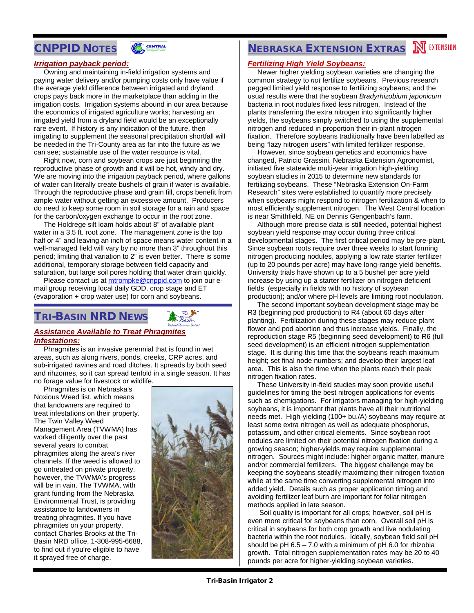# CNPPID NOTES



## *Irrigation payback period:*

 Owning and maintaining in-field irrigation systems and paying water delivery and/or pumping costs only have value if the average yield difference between irrigated and dryland crops pays back more in the marketplace than adding in the irrigation costs. Irrigation systems abound in our area because the economics of irrigated agriculture works; harvesting an irrigated yield from a dryland field would be an exceptionally rare event. If history is any indication of the future, then irrigating to supplement the seasonal precipitation shortfall will be needed in the Tri-County area as far into the future as we can see; sustainable use of the water resource is vital.

 Right now, corn and soybean crops are just beginning the reproductive phase of growth and it will be hot, windy and dry. We are moving into the irrigation payback period, where gallons of water can literally create bushels of grain if water is available. Through the reproductive phase and grain fill, crops benefit from ample water without getting an excessive amount. Producers do need to keep some room in soil storage for a rain and space for the carbon/oxygen exchange to occur in the root zone.

 The Holdrege silt loam holds about 8" of available plant water in a 3.5 ft. root zone. The management zone is the top half or 4" and leaving an inch of space means water content in a well-managed field will vary by no more than 3" throughout this period; limiting that variation to 2" is even better. There is some additional, temporary storage between field capacity and saturation, but large soil pores holding that water drain quickly.

Please contact us at **mtrompke@cnppid.com** to join our email group receiving local daily GDD, crop stage and ET (evaporation + crop water use) for corn and soybeans.

# TRI-BASIN NRD NEWS



### *Assistance Available to Treat Phragmites Infestations:*

 Phragmites is an invasive perennial that is found in wet areas, such as along rivers, ponds, creeks, CRP acres, and sub-irrigated ravines and road ditches. It spreads by both seed and rihzomes, so it can spread tenfold in a single season. It has no forage value for livestock or wildlife.

 Phragmites is on Nebraska's Noxious Weed list, which means that landowners are required to treat infestations on their property. The Twin Valley Weed Management Area (TVWMA) has worked diligently over the past several years to combat phragmites along the area's river channels. If the weed is allowed to go untreated on private property, however, the TVWMA's progress will be in vain. The TVWMA, with grant funding from the Nebraska Environmental Trust, is providing assistance to landowners in treating phragmites. If you have phragmites on your property, contact Charles Brooks at the Tri-Basin NRD office, 1-308-995-6688, to find out if you're eligible to have it sprayed free of charge.



# **NEBRASKA EXTENSION EXTRAS NEXTENSION**

### *Fertilizing High Yield Soybeans:*

 Newer higher yielding soybean varieties are changing the common strategy to *not* fertilize soybeans. Previous research pegged limited yield response to fertilizing soybeans; and the usual results were that the soybean *Bradyrhizobium japonicum*  bacteria in root nodules fixed less nitrogen. Instead of the plants transferring the extra nitrogen into significantly higher yields, the soybeans simply switched to using the supplemental nitrogen and reduced in proportion their in-plant nitrogen fixation. Therefore soybeans traditionally have been labelled as being "lazy nitrogen users" with limited fertilizer response.

 However, since soybean genetics and economics have changed, Patricio Grassini, Nebraska Extension Agronomist, initiated five statewide multi-year irrigation high-yielding soybean studies in 2015 to determine new standards for fertilizing soybeans. These "Nebraska Extension On-Farm Research" sites were established to quantify more precisely when soybeans might respond to nitrogen fertilization & when to most efficiently supplement nitrogen. The West Central location is near Smithfield, NE on Dennis Gengenbach's farm.

 Although more precise data is still needed, potential highest soybean yield response may occur during three critical developmental stages. The first critical period may be pre-plant. Since soybean roots require over three weeks to start forming nitrogen producing nodules, applying a low rate starter fertilizer (up to 20 pounds per acre) may have long-range yield benefits. University trials have shown up to a 5 bushel per acre yield increase by using up a starter fertilizer on nitrogen-deficient fields (especially in fields with no history of soybean production); and/or where pH levels are limiting root nodulation.

 The second important soybean development stage may be R3 (beginning pod production) to R4 (about 60 days after planting). Fertilization during these stages may reduce plant flower and pod abortion and thus increase yields. Finally, the reproduction stage R5 (beginning seed development) to R6 (full seed development) is an efficient nitrogen supplementation stage. It is during this time that the soybeans reach maximum height; set final node numbers; and develop their largest leaf area. This is also the time when the plants reach their peak nitrogen fixation rates.

 These University in-field studies may soon provide useful guidelines for timing the best nitrogen applications for events such as chemigations. For irrigators managing for high-yielding soybeans, it is important that plants have all their nutritional needs met. High-yielding (100+ bu./A) soybeans may require at least some extra nitrogen as well as adequate phosphorus, potassium, and other critical elements. Since soybean root nodules are limited on their potential nitrogen fixation during a growing season; higher-yields may require supplemental nitrogen. Sources might include: higher organic matter, manure and/or commercial fertilizers. The biggest challenge may be keeping the soybeans steadily maximizing their nitrogen fixation while at the same time converting supplemental nitrogen into added yield. Details such as proper application timing and avoiding fertilizer leaf burn are important for foliar nitrogen methods applied in late season.

 Soil quality is important for all crops; however, soil pH is even more critical for soybeans than corn. Overall soil pH is critical in soybeans for both crop growth and live nodulating bacteria within the root nodules. Ideally, soybean field soil pH should be pH  $6.5 - 7.0$  with a minimum of pH 6.0 for rhizobia growth. Total nitrogen supplementation rates may be 20 to 40 pounds per acre for higher-yielding soybean varieties.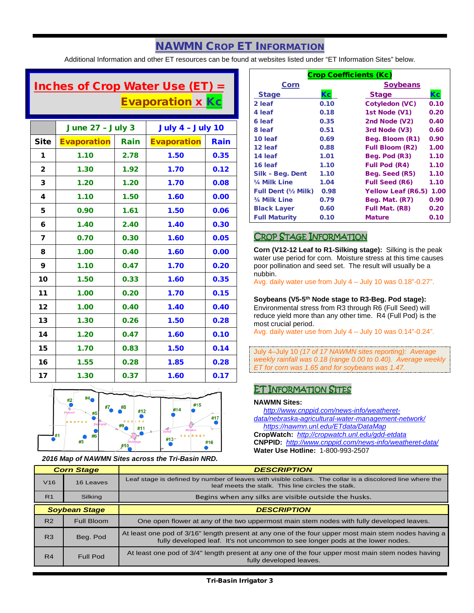# NAWMN CROP ET INFORMATION

Additional Information and other ET resources can be found at websites listed under "ET Information Sites" below.

# Inches of Crop Water Use (ET)  $=$ **Evaporation x Kc**

|              | <b>June 27 - July 3</b> |      | <b>July 4 - July 10</b> |      |
|--------------|-------------------------|------|-------------------------|------|
| <b>Site</b>  | <b>Evaporation</b>      | Rain | <b>Evaporation</b>      | Rain |
| 1            | 1.10                    | 2.78 | 1.50                    | 0.35 |
| $\mathbf{2}$ | 1.30                    | 1.92 | 1.70                    | 0.12 |
| 3            | 1.20                    | 1.20 | 1.70                    | 0.08 |
| 4            | 1.10                    | 1.50 | 1.60                    | 0.00 |
| 5            | 0.90                    | 1.61 | 1.50                    | 0.06 |
| 6            | 1.40                    | 2.40 | 1.40                    | 0.30 |
| 7            | 0.70                    | 0.30 | 1.60                    | 0.05 |
| 8            | 1.00                    | 0.40 | 1.60                    | 0.00 |
| 9            | 1.10                    | 0.47 | 1.70                    | 0.20 |
| 10           | 1.50                    | 0.33 | 1.60                    | 0.35 |
| 11           | 1.00                    | 0.20 | 1.70                    | 0.15 |
| 12           | 1.00                    | 0.40 | 1.40                    | 0.40 |
| 13           | 1.30                    | 0.26 | 1.50                    | 0.28 |
| 14           | 1.20                    | 0.47 | 1.60                    | 0.10 |
| 15           | 1.70                    | 0.83 | 1.50                    | 0.14 |
| 16           | 1.55                    | 0.28 | 1.85                    | 0.28 |
| 17           | 1.30                    | 0.37 | 1.60                    | 0.17 |



*2016 Map of NAWMN Sites across the Tri-Basin NRD.*

| <b>Crop Coefficients (Kc)</b> |      |                           |      |  |
|-------------------------------|------|---------------------------|------|--|
| Corn                          |      | <b>Soybeans</b>           |      |  |
| <b>Stage</b>                  | Кc   | <b>Stage</b>              | Кc   |  |
| 2 leaf                        | 0.10 | <b>Cotyledon (VC)</b>     | 0.10 |  |
| 4 leaf                        | 0.18 | 1st Node (V1)             | 0.20 |  |
| 6 leaf                        | 0.35 | 2nd Node (V2)             | 0.40 |  |
| 8 leaf                        | 0.51 | 3rd Node (V3)             | 0.60 |  |
| 10 leaf                       | 0.69 | Beg. Bloom (R1)           | 0.90 |  |
| 12 leaf                       | 0.88 | <b>Full Bloom (R2)</b>    | 1.00 |  |
| 14 leaf                       | 1.01 | Beg. Pod (R3)             | 1.10 |  |
| 16 leaf                       | 1.10 | <b>Full Pod (R4)</b>      | 1.10 |  |
| Silk - Beg. Dent              | 1.10 | Beg. Seed (R5)            | 1.10 |  |
| 1/ <sub>4</sub> Milk Line     | 1.04 | <b>Full Seed (R6)</b>     | 1.10 |  |
| <b>Full Dent (½ Milk)</b>     | 0.98 | <b>Yellow Leaf (R6.5)</b> | 1.00 |  |
| 3/4 Milk Line                 | 0.79 | Beg. Mat. (R7)            | 0.90 |  |
| <b>Black Layer</b>            | 0.60 | Full Mat. (R8)            | 0.20 |  |
| <b>Full Maturity</b>          | 0.10 | <b>Mature</b>             | 0.10 |  |

## CROP STAGE INFORMATION

**Corn (V12-12 Leaf to R1-Silking stage):** Silking is the peak water use period for corn. Moisture stress at this time causes poor pollination and seed set. The result will usually be a nubbin.

Avg. daily water use from July 4 – July 10 was 0.18"-0.27".

### **Soybeans (V5-5th Node stage to R3-Beg. Pod stage):**

Environmental stress from R3 through R6 (Full Seed) will reduce yield more than any other time. R4 (Full Pod) is the most crucial period.

Avg. daily water use from July 4 – July 10 was 0.14"-0.24".

July 4–July 10 *(17 of 17 NAWMN sites reporting): Average weekly rainfall was 0.18 (range 0.00 to 0.40). Average weekly ET for corn was 1.65 and for soybeans was 1.47.*

## ET INFORMATION SITES

### **NAWMN Sites:**

 *[http://www.cnppid.com/news-info/weatheret](http://www.cnppid.com/news-info/weatheret-data/nebraska-agricultural-water-management-network/)[data/nebraska-agricultural-water-management-network/](http://www.cnppid.com/news-info/weatheret-data/nebraska-agricultural-water-management-network/) <https://nawmn.unl.edu/ETdata/DataMap>*

**CropWatch:** *<http://cropwatch.unl.edu/gdd-etdata>* **CNPPID:** *<http://www.cnppid.com/news-info/weatheret-data/>* **Water Use Hotline:** 1-800-993-2507

| <b>Corn Stage</b> |                      | <b>DESCRIPTION</b>                                                                                                                                                                    |  |
|-------------------|----------------------|---------------------------------------------------------------------------------------------------------------------------------------------------------------------------------------|--|
| V <sub>16</sub>   | 16 Leaves            | Leaf stage is defined by number of leaves with visible collars. The collar is a discolored line where the<br>leaf meets the stalk. This line circles the stalk.                       |  |
| R <sub>1</sub>    | Silking              | Begins when any silks are visible outside the husks.                                                                                                                                  |  |
|                   | <b>Soybean Stage</b> | <b>DESCRIPTION</b>                                                                                                                                                                    |  |
| R <sub>2</sub>    | Full Bloom           | One open flower at any of the two uppermost main stem nodes with fully developed leaves.                                                                                              |  |
| R3                | Beg. Pod             | At least one pod of 3/16" length present at any one of the four upper most main stem nodes having a<br>fully developed leaf. It's not uncommon to see longer pods at the lower nodes. |  |
| R4                | <b>Full Pod</b>      | At least one pod of 3/4" length present at any one of the four upper most main stem nodes having<br>fully developed leaves.                                                           |  |